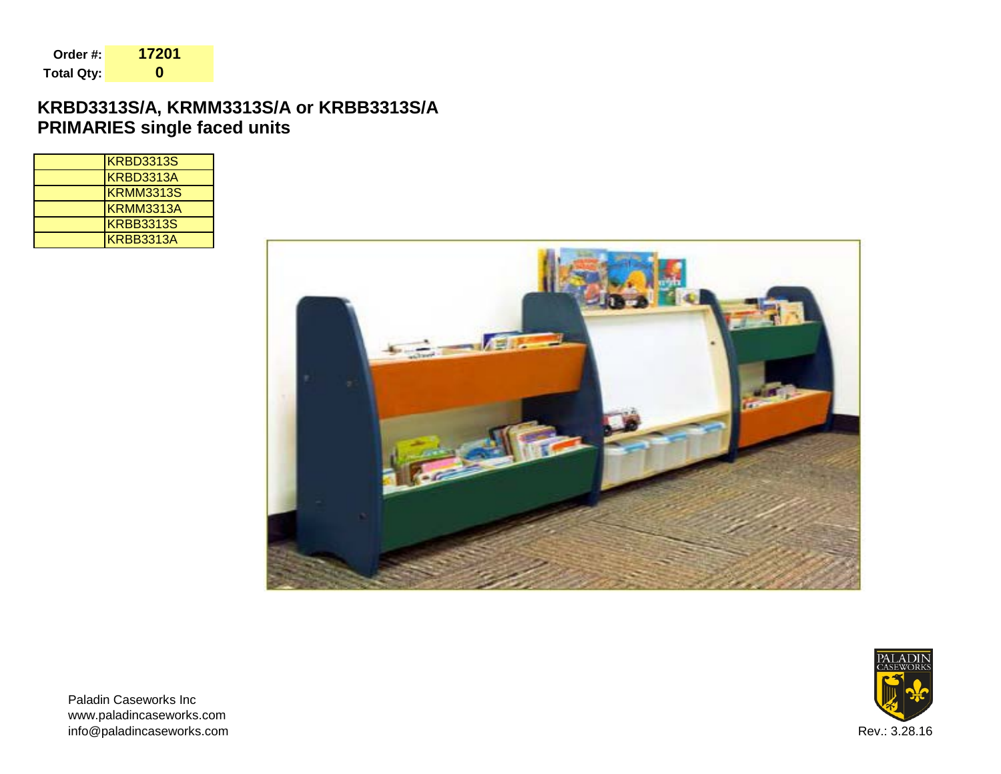| Order #:   | 17201 |
|------------|-------|
| Total Qty: | 0     |

## **KRBD3313S/A, KRMM3313S/A or KRBB3313S/A PRIMARIES single faced units**

| KRBD3313S |
|-----------|
| KRBD3313A |
| KRMM3313S |
| KRMM3313A |
| KRBB3313S |
| KRBB3313A |





Paladin Caseworks Inc www.paladincaseworks.com info@paladincaseworks.com Rev.: 3.28.16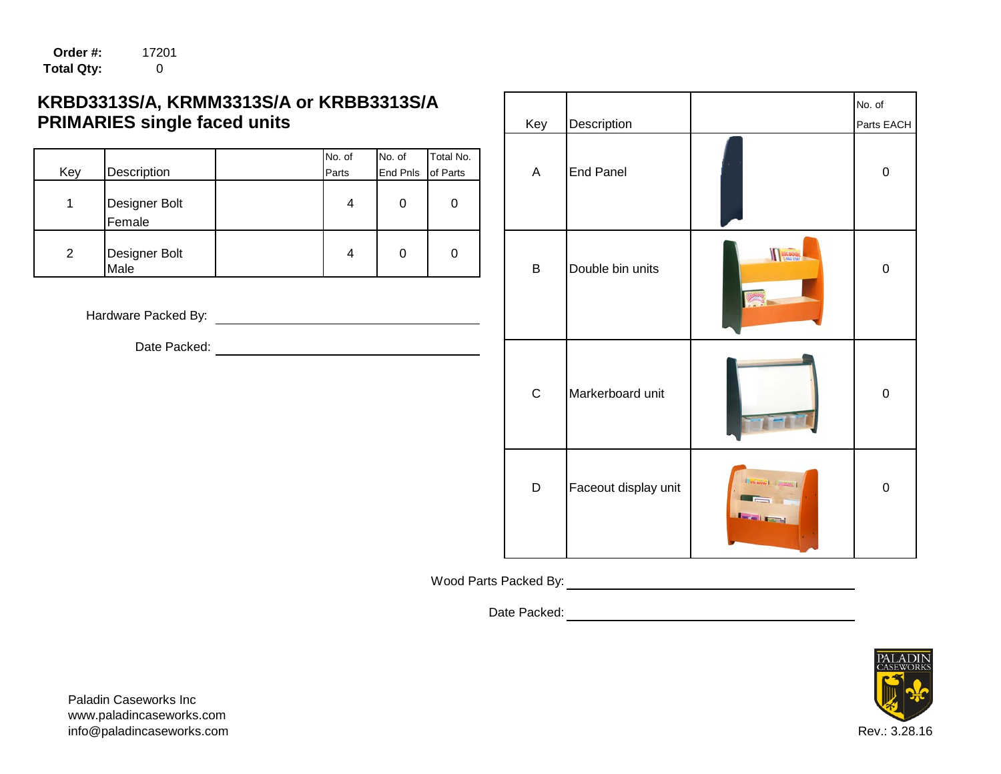**Order #:** 17201 **Total Qty:** 0

# KRBD3313S/A, KRMM3313S/A or KRBB3313S/A **PRIMARIES single faced units**

| Key | Description             | No. of<br>Parts | No. of<br><b>End Pnls</b> of Parts | Total No. | Α | <b>End Panel</b> |          | 0 |
|-----|-------------------------|-----------------|------------------------------------|-----------|---|------------------|----------|---|
|     |                         |                 |                                    |           |   |                  |          |   |
|     | Designer Bolt<br>Female | 4               | ∩                                  |           |   |                  |          |   |
| 2   | Designer Bolt<br>Male   | 4               | 0                                  |           | В | Double bin units | KIG BOOK | 0 |

Hardware Packed By:

|                               | 13S/A, KRMM3313S/A or KRBB3313S/A |                    |                       |                         |                      |                           |
|-------------------------------|-----------------------------------|--------------------|-----------------------|-------------------------|----------------------|---------------------------|
| <b>IES single faced units</b> |                                   |                    |                       | Key                     | Description          |                           |
| Description                   | No. of<br>Parts                   | No. of<br>End Pnls | Total No.<br>of Parts | $\overline{\mathsf{A}}$ | <b>End Panel</b>     |                           |
| Designer Bolt<br>Female       | 4                                 | $\pmb{0}$          | 0                     |                         |                      |                           |
| Designer Bolt<br>Male         | 4                                 | $\pmb{0}$          | 0                     | $\sf B$                 | Double bin units     | <b>MAG BOOK</b>           |
| dware Packed By:              |                                   |                    |                       |                         |                      |                           |
| Date Packed:                  |                                   |                    |                       |                         |                      |                           |
|                               |                                   |                    |                       | $\mathbf C$             | Markerboard unit     |                           |
|                               |                                   |                    |                       | $\mathsf D$             | Faceout display unit | <b>Distance Consisted</b> |

Wood Parts Packed By:

Date Packed:



Paladin Caseworks Inc www.paladincaseworks.com info@paladincaseworks.com Rev.: 3.28.16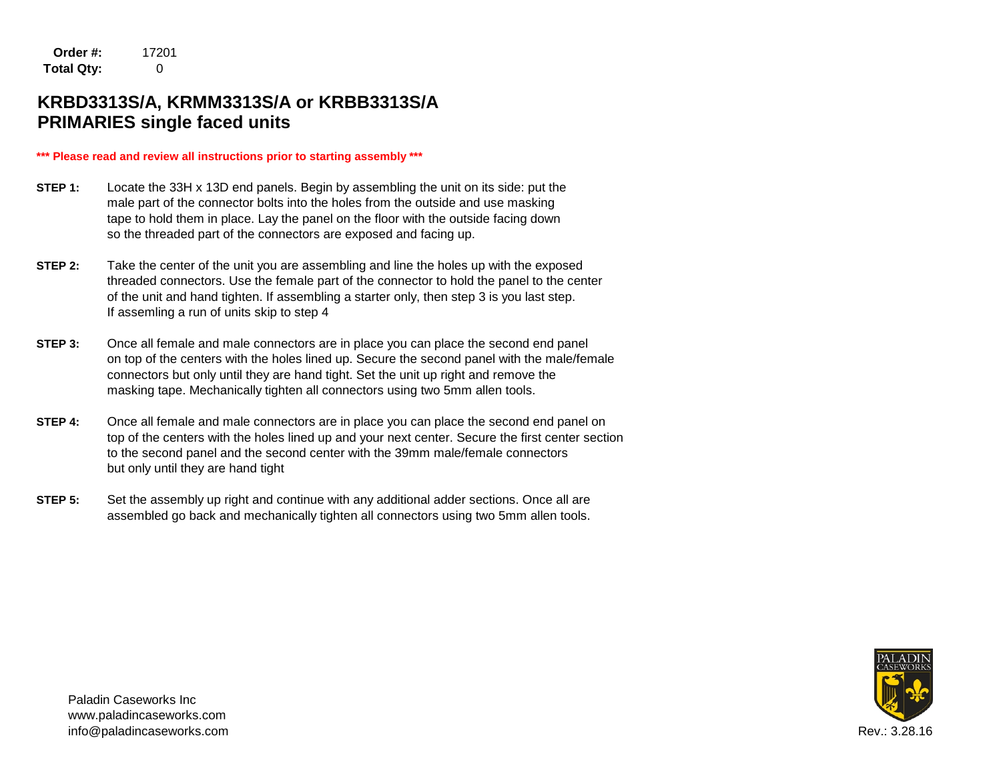**Order #:** 17201 **Total Qty:** 0

## **KRBD3313S/A, KRMM3313S/A or KRBB3313S/A PRIMARIES single faced units**

#### **\*\*\* Please read and review all instructions prior to starting assembly \*\*\***

- **STEP 1:** Locate the 33H x 13D end panels. Begin by assembling the unit on its side: put the male part of the connector bolts into the holes from the outside and use masking tape to hold them in place. Lay the panel on the floor with the outside facing down so the threaded part of the connectors are exposed and facing up.
- **STEP 2:** Take the center of the unit you are assembling and line the holes up with the exposed threaded connectors. Use the female part of the connector to hold the panel to the center of the unit and hand tighten. If assembling a starter only, then step 3 is you last step. If assemling a run of units skip to step 4
- **STEP 3:** Once all female and male connectors are in place you can place the second end panel on top of the centers with the holes lined up. Secure the second panel with the male/female connectors but only until they are hand tight. Set the unit up right and remove the masking tape. Mechanically tighten all connectors using two 5mm allen tools.
- **STEP 4:** Once all female and male connectors are in place you can place the second end panel on top of the centers with the holes lined up and your next center. Secure the first center section to the second panel and the second center with the 39mm male/female connectors but only until they are hand tight
- **STEP 5:** Set the assembly up right and continue with any additional adder sections. Once all are assembled go back and mechanically tighten all connectors using two 5mm allen tools.